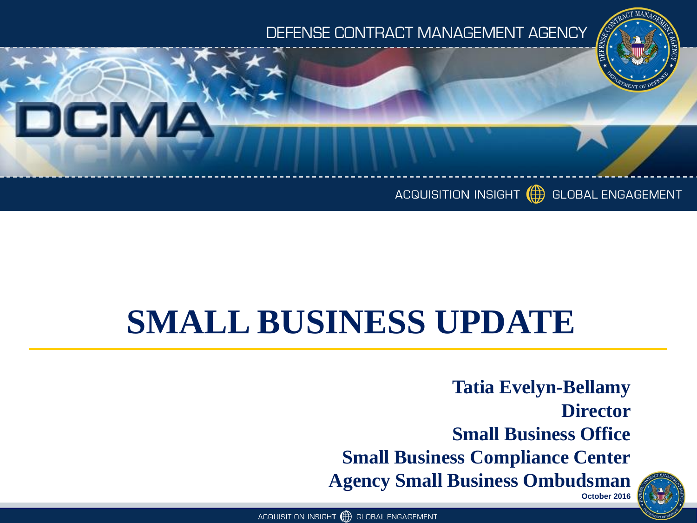#### DEFENSE CONTRACT MANAGEMENT AGENCY



#### ACQUISITION INSIGHT (A) GLOBAL ENGAGEMENT

### **SMALL BUSINESS UPDATE**

**Tatia Evelyn-Bellamy Director Small Business Office Small Business Compliance Center Agency Small Business Ombudsman October 2016** 

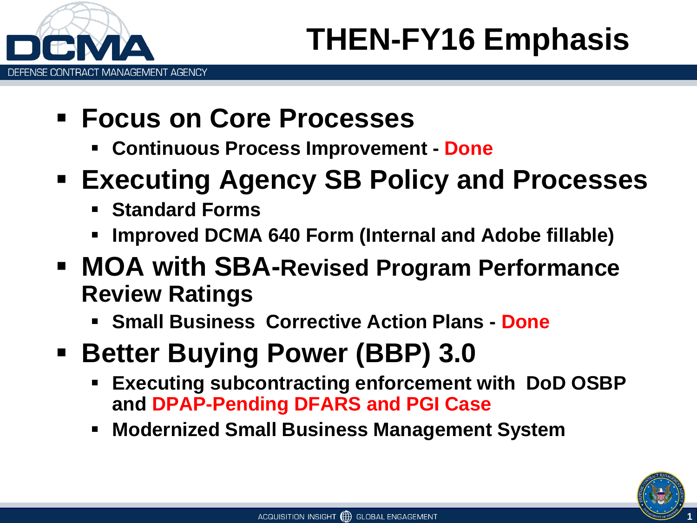

- **Focus on Core Processes**
	- **Continuous Process Improvement - Done**
- **Executing Agency SB Policy and Processes**
	- **Standard Forms**
	- **Improved DCMA 640 Form (Internal and Adobe fillable)**
- **MOA with SBA-Revised Program Performance Review Ratings**
	- **Small Business Corrective Action Plans - Done**
- **Better Buying Power (BBP) 3.0**
	- **Executing subcontracting enforcement with DoD OSBP and DPAP-Pending DFARS and PGI Case**
	- **Modernized Small Business Management System**

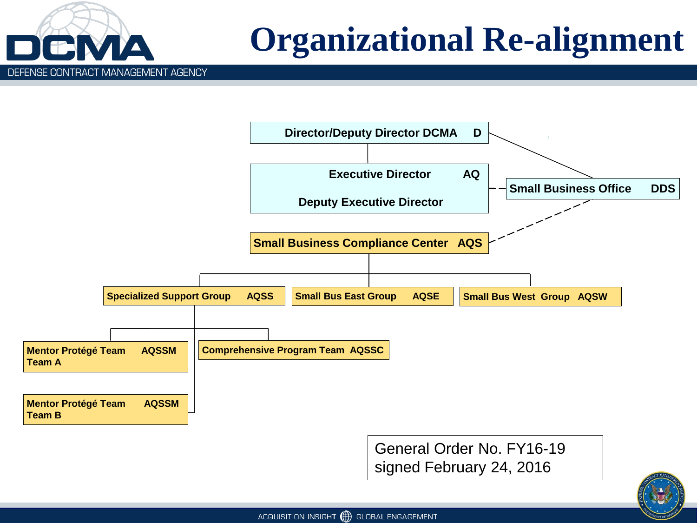

## **Organizational Re-alignment**



General Order No. FY16-19 signed February 24, 2016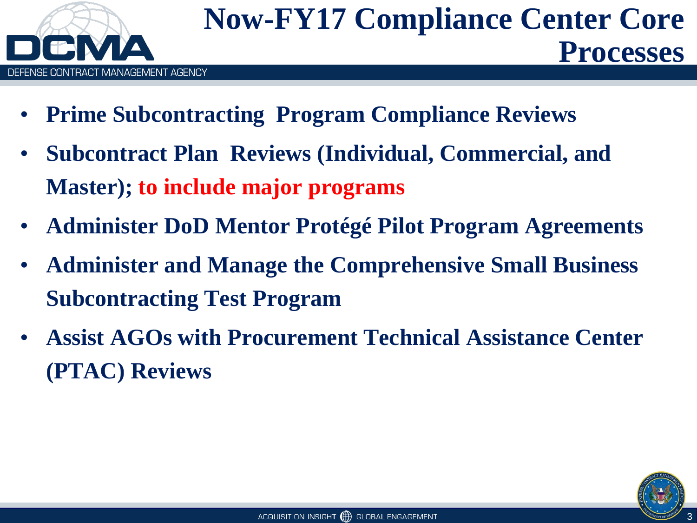

- **Prime Subcontracting Program Compliance Reviews**
- **Subcontract Plan Reviews (Individual, Commercial, and Master); to include major programs**
- **Administer DoD Mentor Protégé Pilot Program Agreements**
- **Administer and Manage the Comprehensive Small Business Subcontracting Test Program**
- **Assist AGOs with Procurement Technical Assistance Center (PTAC) Reviews**

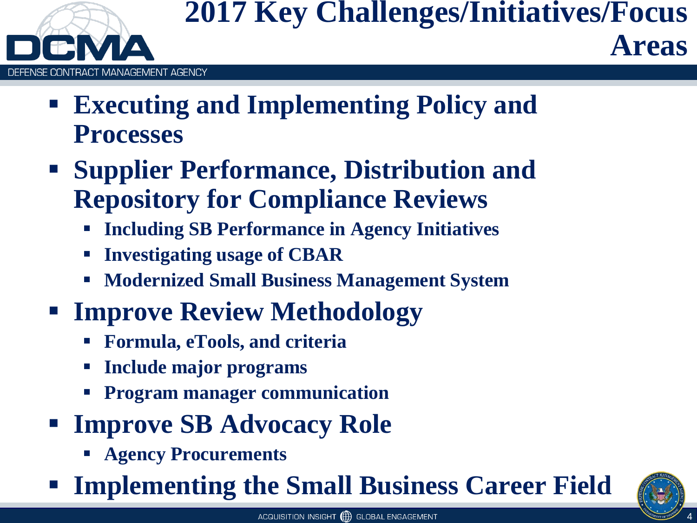

### **2017 Key Challenges/Initiatives/Focus Areas**

- **Executing and Implementing Policy and Processes**
- **Supplier Performance, Distribution and Repository for Compliance Reviews**
	- **Including SB Performance in Agency Initiatives**
	- **Investigating usage of CBAR**
	- **Modernized Small Business Management System**
- **Improve Review Methodology**
	- **Formula, eTools, and criteria**
	- **Include major programs**
	- **Program manager communication**
- **Figure SB Advocacy Role** 
	- **Agency Procurements**
- **Implementing the Small Business Career Field**

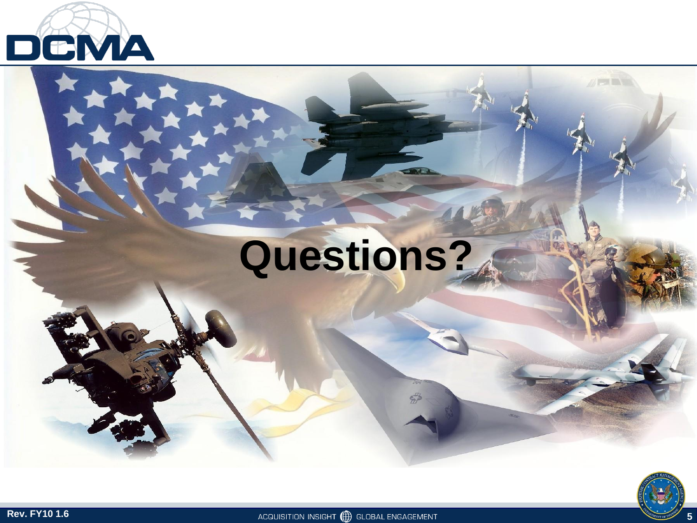

# **Questions?**